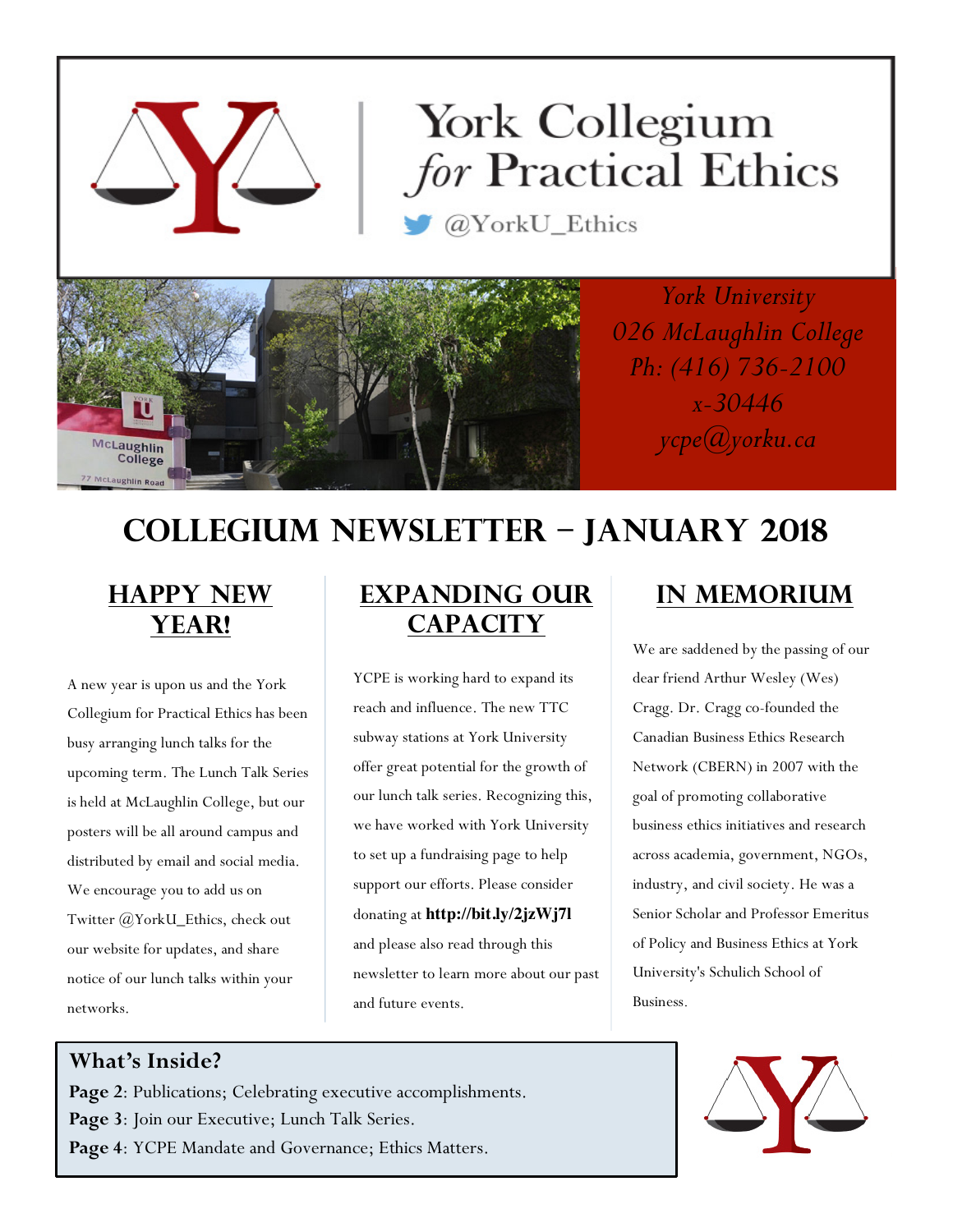# York Collegium *for* Practical Ethics

@YorkU\_Ethics



*York University 026 McLaughlin College Ph: (416) 736-2100 x-30446 ycpe@yorku.ca*

# **Collegium Newsletter – JANUARY 2018**

## **HAPPY NEW YEAR!**

A new year is upon us and the York Collegium for Practical Ethics has been busy arranging lunch talks for the upcoming term. The Lunch Talk Series is held at McLaughlin College, but our posters will be all around campus and distributed by email and social media. We encourage you to add us on Twitter @YorkU\_Ethics, check out our website for updates, and share notice of our lunch talks within your networks.

## **EXPANDING OUR CAPACITY**

YCPE is working hard to expand its reach and influence. The new TTC subway stations at York University offer great potential for the growth of our lunch talk series. Recognizing this, we have worked with York University to set up a fundraising page to help support our efforts. Please consider donating at **http://bit.ly/2jzWj7l** and please also read through this newsletter to learn more about our past and future events.

## **In Memorium**

We are saddened by the passing of our dear friend Arthur Wesley (Wes) Cragg. Dr. Cragg co-founded the Canadian Business Ethics Research Network (CBERN) in 2007 with the goal of promoting collaborative business ethics initiatives and research across academia, government, NGOs, industry, and civil society. He was a Senior Scholar and Professor Emeritus of Policy and Business Ethics at York University's Schulich School of Business.

#### **What's Inside?**

**Page 2**: Publications; Celebrating executive accomplishments. Page 3: Join our Executive; Lunch Talk Series. **Page 4**: YCPE Mandate and Governance; Ethics Matters.

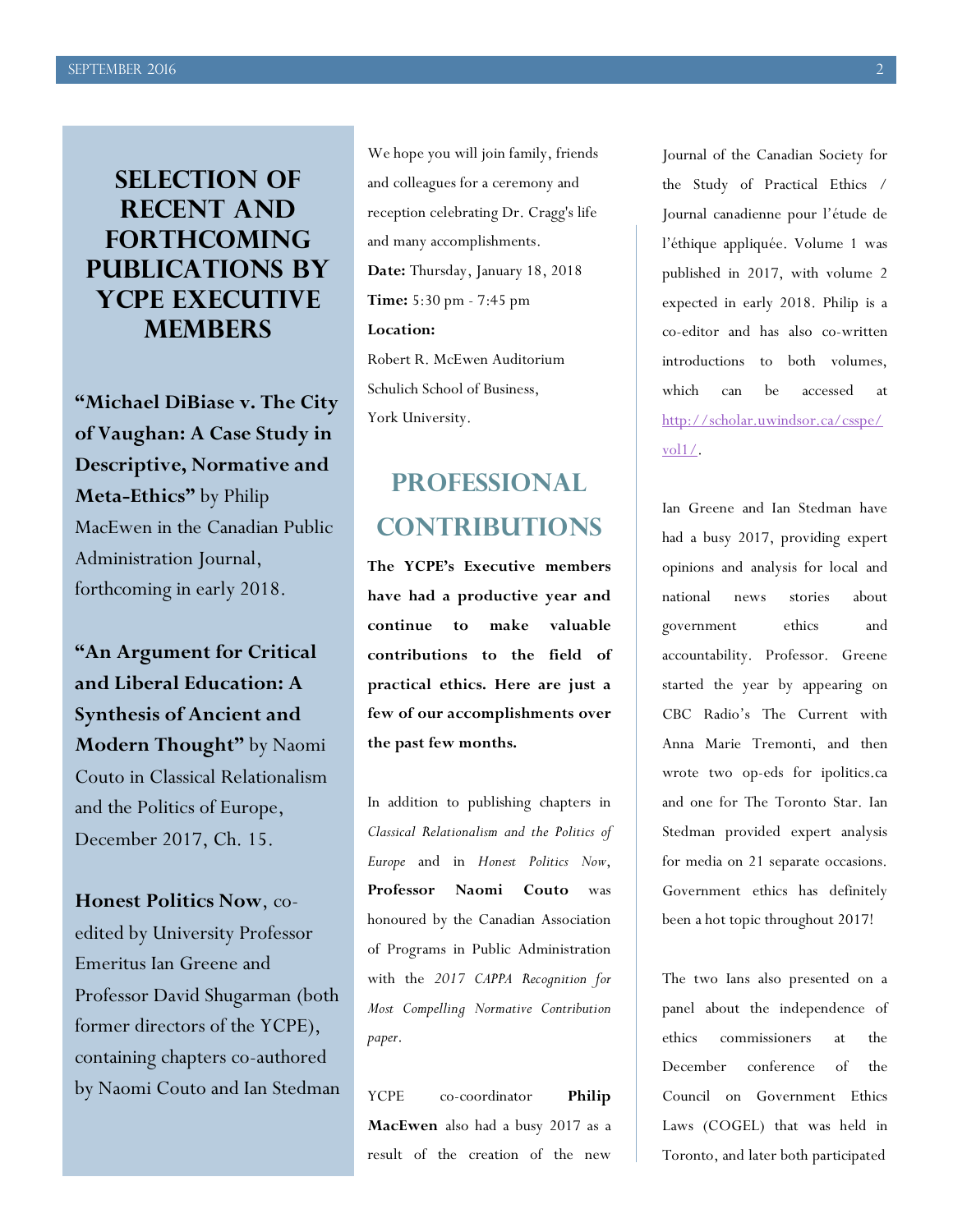## **SELECTION OF RECENT AND forthcoming Publications by YCPE Executive Members**

**"Michael DiBiase v. The City of Vaughan: A Case Study in Descriptive, Normative and Meta-Ethics"** by Philip MacEwen in the Canadian Public Administration Journal, forthcoming in early 2018.

**"An Argument for Critical and Liberal Education: A Synthesis of Ancient and Modern Thought"** by Naomi Couto in Classical Relationalism and the Politics of Europe, December 2017, Ch. 15.

**Honest Politics Now**, coedited by University Professor Emeritus Ian Greene and Professor David Shugarman (both former directors of the YCPE), containing chapters co-authored by Naomi Couto and Ian Stedman

We hope you will join family, friends and colleagues for a ceremony and reception celebrating Dr. Cragg's life and many accomplishments. **Date:** Thursday, January 18, 2018 **Time:** 5:30 pm - 7:45 pm **Location:** Robert R. McEwen Auditorium Schulich School of Business, York University.

## **PROFESSIONAL CONTRIBUTIONS**

**The YCPE's Executive members have had a productive year and continue to make valuable contributions to the field of practical ethics. Here are just a few of our accomplishments over the past few months.**

In addition to publishing chapters in *Classical Relationalism and the Politics of Europe* and in *Honest Politics Now*, **Professor Naomi Couto** was honoured by the Canadian Association of Programs in Public Administration with the *2017 CAPPA Recognition for Most Compelling Normative Contribution paper*.

YCPE co-coordinator **Philip MacEwen** also had a busy 2017 as a result of the creation of the new

Journal of the Canadian Society for the Study of Practical Ethics / Journal canadienne pour l'étude de l'éthique appliquée. Volume 1 was published in 2017, with volume 2 expected in early 2018. Philip is a co-editor and has also co-written introductions to both volumes, which can be accessed at http://scholar.uwindsor.ca/csspe/ vol1/.

Ian Greene and Ian Stedman have had a busy 2017, providing expert opinions and analysis for local and national news stories about government ethics and accountability. Professor. Greene started the year by appearing on CBC Radio's The Current with Anna Marie Tremonti, and then wrote two op-eds for ipolitics.ca and one for The Toronto Star. Ian Stedman provided expert analysis for media on 21 separate occasions. Government ethics has definitely been a hot topic throughout 2017!

The two Ians also presented on a panel about the independence of ethics commissioners at the December conference of the Council on Government Ethics Laws (COGEL) that was held in Toronto, and later both participated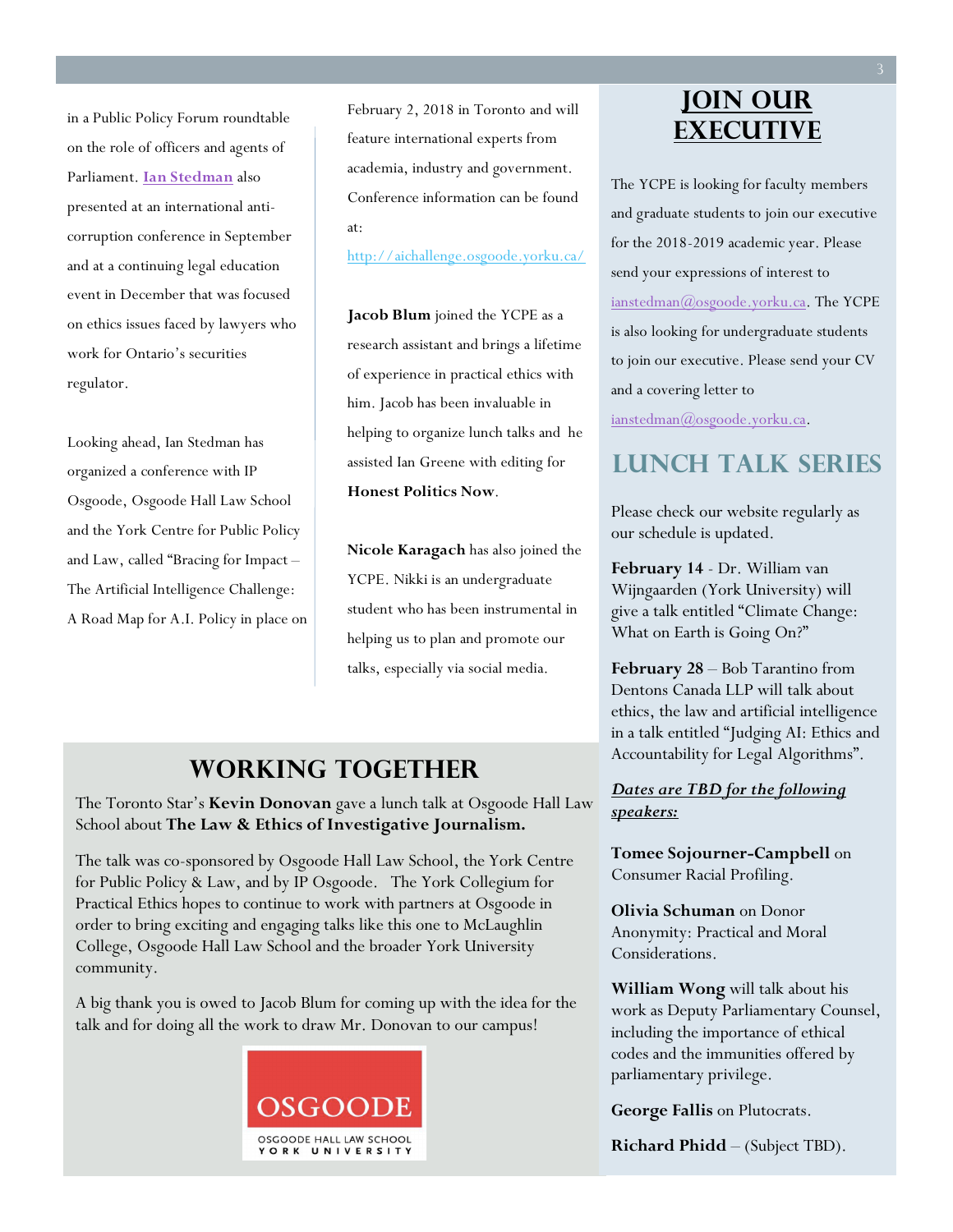in a Public Policy Forum roundtable on the role of officers and agents of Parliament. **Ian Stedman** also presented at an international anticorruption conference in September and at a continuing legal education event in December that was focused on ethics issues faced by lawyers who work for Ontario's securities regulator.

Looking ahead, Ian Stedman has organized a conference with IP Osgoode, Osgoode Hall Law School and the York Centre for Public Policy and Law, called "Bracing for Impact – The Artificial Intelligence Challenge: A Road Map for A.I. Policy in place on February 2, 2018 in Toronto and will feature international experts from academia, industry and government. Conference information can be found at:

http://aichallenge.osgoode.yorku.ca/

**Jacob Blum** joined the YCPE as a research assistant and brings a lifetime of experience in practical ethics with him. Jacob has been invaluable in helping to organize lunch talks and he assisted Ian Greene with editing for **Honest Politics Now**.

**Nicole Karagach** has also joined the YCPE. Nikki is an undergraduate student who has been instrumental in helping us to plan and promote our talks, especially via social media.

#### **WORKING TOGETHER**

The Toronto Star's **Kevin Donovan** gave a lunch talk at Osgoode Hall Law School about **The Law & Ethics of Investigative Journalism.** 

The talk was co-sponsored by Osgoode Hall Law School, the York Centre for Public Policy & Law, and by IP Osgoode.The York Collegium for Practical Ethics hopes to continue to work with partners at Osgoode in order to bring exciting and engaging talks like this one to McLaughlin College, Osgoode Hall Law School and the broader York University community.

A big thank you is owed to Jacob Blum for coming up with the idea for the talk and for doing all the work to draw Mr. Donovan to our campus!



#### **JOIN OUR EXECUTIVE**

The YCPE is looking for faculty members and graduate students to join our executive for the 2018-2019 academic year. Please send your expressions of interest to ianstedman@osgoode.yorku.ca. The YCPE is also looking for undergraduate students to join our executive. Please send your CV and a covering letter to ianstedman@osgoode.yorku.ca.

#### **LUNCH TALK SERIES**

Please check our website regularly as our schedule is updated.

**February 14** - Dr. William van Wijngaarden (York University) will give a talk entitled "Climate Change: What on Earth is Going On?"

**February 28** – Bob Tarantino from Dentons Canada LLP will talk about ethics, the law and artificial intelligence in a talk entitled "Judging AI: Ethics and Accountability for Legal Algorithms".

#### *Dates are TBD for the following speakers:*

**Tomee Sojourner-Campbell** on Consumer Racial Profiling.

**Olivia Schuman** on Donor Anonymity: Practical and Moral Considerations.

**William Wong** will talk about his work as Deputy Parliamentary Counsel, including the importance of ethical codes and the immunities offered by parliamentary privilege.

**George Fallis** on Plutocrats.

**Richard Phidd** – (Subject TBD).